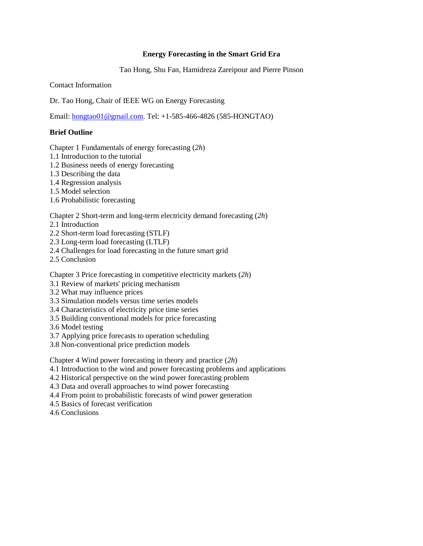### **Energy Forecasting in the Smart Grid Era**

Tao Hong, Shu Fan, Hamidreza Zareipour and Pierre Pinson

Contact Information

Dr. Tao Hong, Chair of IEEE WG on Energy Forecasting

Email: [hongtao01@gmail.com.](mailto:hongtao01@gmail.com) Tel: +1-585-466-4826 (585-HONGTAO)

### **Brief Outline**

Chapter 1 Fundamentals of energy forecasting (*2h*)

- 1.1 Introduction to the tutorial
- 1.2 Business needs of energy forecasting
- 1.3 Describing the data
- 1.4 Regression analysis
- 1.5 Model selection
- 1.6 Probabilistic forecasting

Chapter 2 Short-term and long-term electricity demand forecasting (*2h*)

2.1 Introduction

- 2.2 Short-term load forecasting (STLF)
- 2.3 Long-term load forecasting (LTLF)
- 2.4 Challenges for load forecasting in the future smart grid
- 2.5 Conclusion

Chapter 3 Price forecasting in competitive electricity markets (*2h*)

- 3.1 Review of markets' pricing mechanism
- 3.2 What may influence prices
- 3.3 Simulation models versus time series models
- 3.4 Characteristics of electricity price time series
- 3.5 Building conventional models for price forecasting
- 3.6 Model testing
- 3.7 Applying price forecasts to operation scheduling
- 3.8 Non-conventional price prediction models

Chapter 4 Wind power forecasting in theory and practice (*2h*)

- 4.1 Introduction to the wind and power forecasting problems and applications
- 4.2 Historical perspective on the wind power forecasting problem
- 4.3 Data and overall approaches to wind power forecasting
- 4.4 From point to probabilistic forecasts of wind power generation
- 4.5 Basics of forecast verification
- 4.6 Conclusions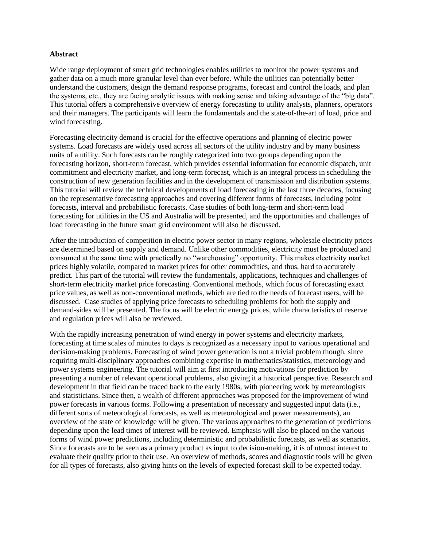#### **Abstract**

Wide range deployment of smart grid technologies enables utilities to monitor the power systems and gather data on a much more granular level than ever before. While the utilities can potentially better understand the customers, design the demand response programs, forecast and control the loads, and plan the systems, etc., they are facing analytic issues with making sense and taking advantage of the "big data". This tutorial offers a comprehensive overview of energy forecasting to utility analysts, planners, operators and their managers. The participants will learn the fundamentals and the state-of-the-art of load, price and wind forecasting.

Forecasting electricity demand is crucial for the effective operations and planning of electric power systems. Load forecasts are widely used across all sectors of the utility industry and by many business units of a utility. Such forecasts can be roughly categorized into two groups depending upon the forecasting horizon, short-term forecast, which provides essential information for economic dispatch, unit commitment and electricity market, and long-term forecast, which is an integral process in scheduling the construction of new generation facilities and in the development of transmission and distribution systems. This tutorial will review the technical developments of load forecasting in the last three decades, focusing on the representative forecasting approaches and covering different forms of forecasts, including point forecasts, interval and probabilistic forecasts. Case studies of both long-term and short-term load forecasting for utilities in the US and Australia will be presented, and the opportunities and challenges of load forecasting in the future smart grid environment will also be discussed.

After the introduction of competition in electric power sector in many regions, wholesale electricity prices are determined based on supply and demand. Unlike other commodities, electricity must be produced and consumed at the same time with practically no "warehousing" opportunity. This makes electricity market prices highly volatile, compared to market prices for other commodities, and thus, hard to accurately predict. This part of the tutorial will review the fundamentals, applications, techniques and challenges of short-term electricity market price forecasting. Conventional methods, which focus of forecasting exact price values, as well as non-conventional methods, which are tied to the needs of forecast users, will be discussed. Case studies of applying price forecasts to scheduling problems for both the supply and demand-sides will be presented. The focus will be electric energy prices, while characteristics of reserve and regulation prices will also be reviewed.

With the rapidly increasing penetration of wind energy in power systems and electricity markets, forecasting at time scales of minutes to days is recognized as a necessary input to various operational and decision-making problems. Forecasting of wind power generation is not a trivial problem though, since requiring multi-disciplinary approaches combining expertise in mathematics/statistics, meteorology and power systems engineering. The tutorial will aim at first introducing motivations for prediction by presenting a number of relevant operational problems, also giving it a historical perspective. Research and development in that field can be traced back to the early 1980s, with pioneering work by meteorologists and statisticians. Since then, a wealth of different approaches was proposed for the improvement of wind power forecasts in various forms. Following a presentation of necessary and suggested input data (i.e., different sorts of meteorological forecasts, as well as meteorological and power measurements), an overview of the state of knowledge will be given. The various approaches to the generation of predictions depending upon the lead times of interest will be reviewed. Emphasis will also be placed on the various forms of wind power predictions, including deterministic and probabilistic forecasts, as well as scenarios. Since forecasts are to be seen as a primary product as input to decision-making, it is of utmost interest to evaluate their quality prior to their use. An overview of methods, scores and diagnostic tools will be given for all types of forecasts, also giving hints on the levels of expected forecast skill to be expected today.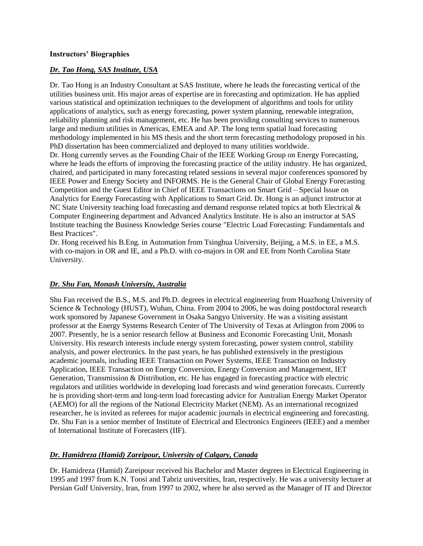#### **Instructors' Biographies**

### *Dr. Tao Hong, SAS Institute, USA*

Dr. Tao Hong is an Industry Consultant at SAS Institute, where he leads the forecasting vertical of the utilities business unit. His major areas of expertise are in forecasting and optimization. He has applied various statistical and optimization techniques to the development of algorithms and tools for utility applications of analytics, such as energy forecasting, power system planning, renewable integration, reliability planning and risk management, etc. He has been providing consulting services to numerous large and medium utilities in Americas, EMEA and AP. The long term spatial load forecasting methodology implemented in his MS thesis and the short term forecasting methodology proposed in his PhD dissertation has been commercialized and deployed to many utilities worldwide. Dr. Hong currently serves as the Founding Chair of the IEEE Working Group on Energy Forecasting, where he leads the efforts of improving the forecasting practice of the utility industry. He has organized, chaired, and participated in many forecasting related sessions in several major conferences sponsored by IEEE Power and Energy Society and INFORMS. He is the General Chair of Global Energy Forecasting Competition and the Guest Editor in Chief of IEEE Transactions on Smart Grid – Special Issue on Analytics for Energy Forecasting with Applications to Smart Grid. Dr. Hong is an adjunct instructor at NC State University teaching load forecasting and demand response related topics at both Electrical & Computer Engineering department and Advanced Analytics Institute. He is also an instructor at SAS Institute teaching the Business Knowledge Series course "Electric Load Forecasting: Fundamentals and Best Practices".

Dr. Hong received his B.Eng. in Automation from Tsinghua University, Beijing, a M.S. in EE, a M.S. with co-majors in OR and IE, and a Ph.D. with co-majors in OR and EE from North Carolina State University.

# *Dr. Shu Fan, Monash University, Australia*

Shu Fan received the B.S., M.S. and Ph.D. degrees in electrical engineering from Huazhong University of Science & Technology (HUST), Wuhan, China. From 2004 to 2006, he was doing postdoctoral research work sponsored by Japanese Government in Osaka Sangyo University. He was a visiting assistant professor at the Energy Systems Research Center of The University of Texas at Arlington from 2006 to 2007. Presently, he is a senior research fellow at Business and Economic Forecasting Unit, Monash University. His research interests include energy system forecasting, power system control, stability analysis, and power electronics. In the past years, he has published extensively in the prestigious academic journals, including IEEE Transaction on Power Systems, IEEE Transaction on Industry Application, IEEE Transaction on Energy Conversion, Energy Conversion and Management, IET Generation, Transmission & Distribution, etc. He has engaged in forecasting practice with electric regulators and utilities worldwide in developing load forecasts and wind generation forecasts. Currently he is providing short-term and long-term load forecasting advice for Australian Energy Market Operator (AEMO) for all the regions of the National Electricity Market (NEM). As an international recognized researcher, he is invited as referees for major academic journals in electrical engineering and forecasting. Dr. Shu Fan is a senior member of Institute of Electrical and Electronics Engineers (IEEE) and a member of International Institute of Forecasters (IIF).

# *Dr. Hamidreza (Hamid) Zareipour, University of Calgary, Canada*

Dr. Hamidreza (Hamid) Zareipour received his Bachelor and Master degrees in Electrical Engineering in 1995 and 1997 from K.N. Toosi and Tabriz universities, Iran, respectively. He was a university lecturer at Persian Gulf University, Iran, from 1997 to 2002, where he also served as the Manager of IT and Director